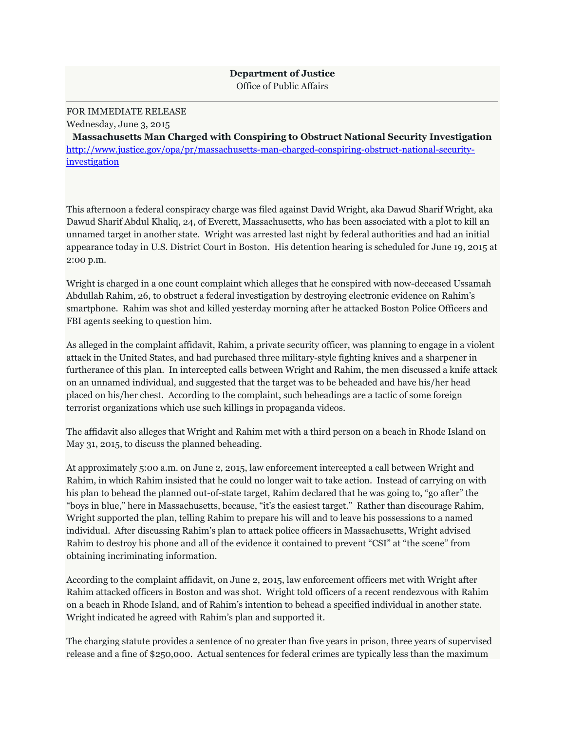## **Department of Justice** Office of Public Affairs

## FOR IMMEDIATE RELEASE

Wednesday, June 3, 2015

**Massachusetts Man Charged with Conspiring to Obstruct National Security Investigation** [http://www.justice.gov/opa/pr/massachusetts-man-charged-conspiring-obstruct-national-security](http://www.justice.gov/opa/pr/massachusetts-man-charged-conspiring-obstruct-national-security-investigation)[investigation](http://www.justice.gov/opa/pr/massachusetts-man-charged-conspiring-obstruct-national-security-investigation)

This afternoon a federal conspiracy charge was filed against David Wright, aka Dawud Sharif Wright, aka Dawud Sharif Abdul Khaliq, 24, of Everett, Massachusetts, who has been associated with a plot to kill an unnamed target in another state. Wright was arrested last night by federal authorities and had an initial appearance today in U.S. District Court in Boston. His detention hearing is scheduled for June 19, 2015 at 2:00 p.m.

Wright is charged in a one count complaint which alleges that he conspired with now-deceased Ussamah Abdullah Rahim, 26, to obstruct a federal investigation by destroying electronic evidence on Rahim's smartphone. Rahim was shot and killed yesterday morning after he attacked Boston Police Officers and FBI agents seeking to question him.

As alleged in the complaint affidavit, Rahim, a private security officer, was planning to engage in a violent attack in the United States, and had purchased three military-style fighting knives and a sharpener in furtherance of this plan. In intercepted calls between Wright and Rahim, the men discussed a knife attack on an unnamed individual, and suggested that the target was to be beheaded and have his/her head placed on his/her chest. According to the complaint, such beheadings are a tactic of some foreign terrorist organizations which use such killings in propaganda videos.

The affidavit also alleges that Wright and Rahim met with a third person on a beach in Rhode Island on May 31, 2015, to discuss the planned beheading.

At approximately 5:00 a.m. on June 2, 2015, law enforcement intercepted a call between Wright and Rahim, in which Rahim insisted that he could no longer wait to take action. Instead of carrying on with his plan to behead the planned out-of-state target, Rahim declared that he was going to, "go after" the "boys in blue," here in Massachusetts, because, "it's the easiest target." Rather than discourage Rahim, Wright supported the plan, telling Rahim to prepare his will and to leave his possessions to a named individual. After discussing Rahim's plan to attack police officers in Massachusetts, Wright advised Rahim to destroy his phone and all of the evidence it contained to prevent "CSI" at "the scene" from obtaining incriminating information.

According to the complaint affidavit, on June 2, 2015, law enforcement officers met with Wright after Rahim attacked officers in Boston and was shot. Wright told officers of a recent rendezvous with Rahim on a beach in Rhode Island, and of Rahim's intention to behead a specified individual in another state. Wright indicated he agreed with Rahim's plan and supported it.

The charging statute provides a sentence of no greater than five years in prison, three years of supervised release and a fine of \$250,000. Actual sentences for federal crimes are typically less than the maximum